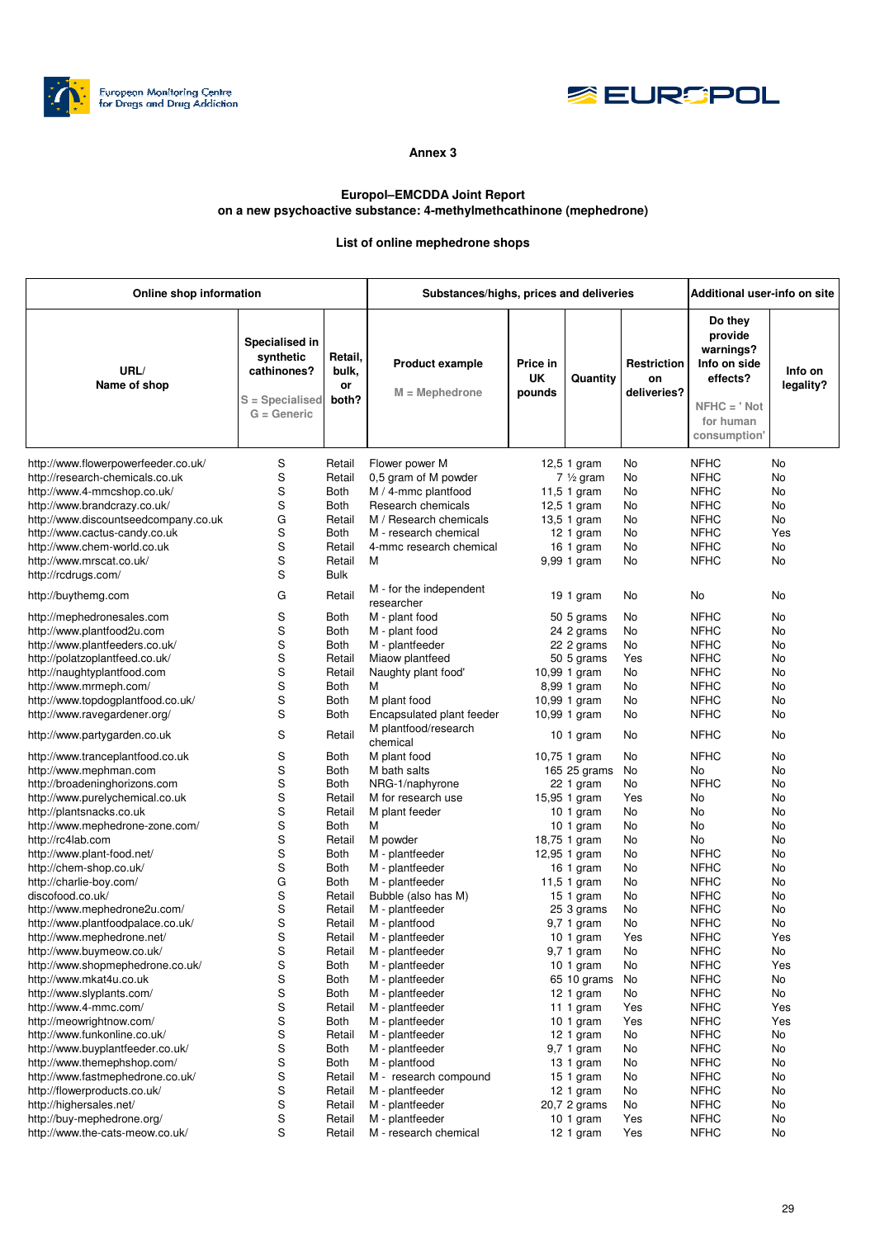



## **Annex 3**

## **Europol–EMCDDA Joint Report on a new psychoactive substance: 4-methylmethcathinone (mephedrone)**

## **List of online mephedrone shops**

| Online shop information              |                                                                                |                                 | Substances/highs, prices and deliveries    |                          |                     |                                         | Additional user-info on site                                                                              |                      |
|--------------------------------------|--------------------------------------------------------------------------------|---------------------------------|--------------------------------------------|--------------------------|---------------------|-----------------------------------------|-----------------------------------------------------------------------------------------------------------|----------------------|
| URL/<br>Name of shop                 | Specialised in<br>synthetic<br>cathinones?<br>S = Specialised<br>$G =$ Generic | Retail,<br>bulk,<br>or<br>both? | <b>Product example</b><br>$M = Mephedrone$ | Price in<br>UK<br>pounds | Quantity            | <b>Restriction</b><br>on<br>deliveries? | Do they<br>provide<br>warnings?<br>Info on side<br>effects?<br>$NFHC = 'Not$<br>for human<br>consumption' | Info on<br>legality? |
| http://www.flowerpowerfeeder.co.uk/  | S                                                                              | Retail                          | Flower power M                             |                          | 12,5 1 gram         | No                                      | <b>NFHC</b>                                                                                               | No                   |
| http://research-chemicals.co.uk      | S                                                                              | Retail                          | 0,5 gram of M powder                       |                          | $7\frac{1}{2}$ gram | No                                      | <b>NFHC</b>                                                                                               | No                   |
| http://www.4-mmcshop.co.uk/          | S                                                                              | Both                            | M / 4-mmc plantfood                        |                          | $11,5$ 1 gram       | No                                      | <b>NFHC</b>                                                                                               | No                   |
| http://www.brandcrazy.co.uk/         | S                                                                              | Both                            | Research chemicals                         |                          | 12,5 1 gram         | No                                      | <b>NFHC</b>                                                                                               | No                   |
|                                      |                                                                                |                                 |                                            |                          |                     |                                         |                                                                                                           | No                   |
| http://www.discountseedcompany.co.uk | G                                                                              | Retail                          | M / Research chemicals                     |                          | 13,5 1 gram         | No                                      | <b>NFHC</b>                                                                                               |                      |
| http://www.cactus-candy.co.uk        | S                                                                              | Both                            | M - research chemical                      |                          | 12 1 gram           | No                                      | <b>NFHC</b>                                                                                               | Yes                  |
| http://www.chem-world.co.uk          | S                                                                              | Retail                          | 4-mmc research chemical                    |                          | 16 1 gram           | No                                      | <b>NFHC</b>                                                                                               | No                   |
| http://www.mrscat.co.uk/             | S                                                                              | Retail                          | М                                          |                          | 9,99 1 gram         | No                                      | <b>NFHC</b>                                                                                               | No                   |
| http://rcdrugs.com/                  | S                                                                              | <b>Bulk</b>                     |                                            |                          |                     |                                         |                                                                                                           |                      |
| http://buythemg.com                  | G                                                                              | Retail                          | M - for the independent<br>researcher      |                          | 19 1 gram           | No                                      | No                                                                                                        | No                   |
| http://mephedronesales.com           | S                                                                              | Both                            | M - plant food                             |                          | 50 5 grams          | No                                      | <b>NFHC</b>                                                                                               | No                   |
| http://www.plantfood2u.com           | S                                                                              | Both                            | M - plant food                             |                          | 24 2 grams          | No                                      | <b>NFHC</b>                                                                                               | No                   |
| http://www.plantfeeders.co.uk/       | S                                                                              | Both                            | M - plantfeeder                            |                          | 22 2 grams          | No                                      | <b>NFHC</b>                                                                                               | No                   |
| http://polatzoplantfeed.co.uk/       | S                                                                              | Retail                          | Miaow plantfeed                            |                          | 50 5 grams          | Yes                                     | <b>NFHC</b>                                                                                               | No                   |
| http://naughtyplantfood.com          | S                                                                              | Retail                          | Naughty plant food'                        |                          | 10,99 1 gram        | No                                      | <b>NFHC</b>                                                                                               | No                   |
| http://www.mrmeph.com/               | S                                                                              | <b>Both</b>                     | М                                          |                          | 8,99 1 gram         | No                                      | <b>NFHC</b>                                                                                               | No                   |
| http://www.topdogplantfood.co.uk/    | S                                                                              | Both                            | M plant food                               |                          | 10,99 1 gram        | No                                      | <b>NFHC</b>                                                                                               | No                   |
| http://www.ravegardener.org/         | S                                                                              | <b>Both</b>                     | Encapsulated plant feeder                  |                          | 10,99 1 gram        | No                                      | <b>NFHC</b>                                                                                               | No                   |
| http://www.partygarden.co.uk         | S                                                                              | Retail                          | M plantfood/research                       |                          | $101$ gram          | No                                      | <b>NFHC</b>                                                                                               | No                   |
|                                      | S                                                                              |                                 | chemical                                   |                          |                     |                                         | <b>NFHC</b>                                                                                               | No                   |
| http://www.tranceplantfood.co.uk     |                                                                                | <b>Both</b>                     | M plant food                               |                          | 10,75 1 gram        | No                                      |                                                                                                           |                      |
| http://www.mephman.com               | S                                                                              | Both                            | M bath salts                               |                          | 165 25 grams        | No                                      | No                                                                                                        | No                   |
| http://broadeninghorizons.com        | S                                                                              | Both                            | NRG-1/naphyrone                            |                          | 22 1 gram           | No                                      | <b>NFHC</b>                                                                                               | No                   |
| http://www.purelychemical.co.uk      | S                                                                              | Retail                          | M for research use                         |                          | 15,95 1 gram        | Yes                                     | No                                                                                                        | No                   |
| http://plantsnacks.co.uk             | S                                                                              | Retail                          | M plant feeder                             |                          | $101$ gram          | No                                      | No                                                                                                        | No                   |
| http://www.mephedrone-zone.com/      | S                                                                              | Both                            | M                                          |                          | 10 1 gram           | No                                      | No                                                                                                        | No                   |
| http://rc4lab.com                    | S                                                                              | Retail                          | M powder                                   |                          | 18,75 1 gram        | No                                      | No                                                                                                        | No                   |
| http://www.plant-food.net/           | S                                                                              | Both                            | M - plantfeeder                            |                          | 12,95 1 gram        | No                                      | <b>NFHC</b>                                                                                               | No                   |
| http://chem-shop.co.uk/              | S                                                                              | <b>Both</b>                     | M - plantfeeder                            |                          | 16 1 gram           | No                                      | <b>NFHC</b>                                                                                               | No                   |
| http://charlie-boy.com/              | G                                                                              | Both                            | M - plantfeeder                            |                          | 11,5 1 gram         | No                                      | <b>NFHC</b>                                                                                               | No                   |
| discofood.co.uk/                     | S                                                                              | Retail                          | Bubble (also has M)                        |                          | $151$ gram          | No                                      | <b>NFHC</b>                                                                                               | No                   |
| http://www.mephedrone2u.com/         | S                                                                              | Retail                          | M - plantfeeder                            |                          | 25 3 grams          | No                                      | <b>NFHC</b>                                                                                               | No                   |
| http://www.plantfoodpalace.co.uk/    | S                                                                              | Retail                          | M - plantfood                              |                          | 9,7 1 gram          | No                                      | <b>NFHC</b>                                                                                               | No                   |
| http://www.mephedrone.net/           | S                                                                              | Retail                          | M - plantfeeder                            |                          | 10 1 gram           | Yes                                     | <b>NFHC</b>                                                                                               | Yes                  |
| http://www.buymeow.co.uk/            | S                                                                              | Retail                          | M - plantfeeder                            |                          | 9,7 1 gram          | No                                      | <b>NFHC</b>                                                                                               | No                   |
| http://www.shopmephedrone.co.uk/     | S                                                                              | <b>Both</b>                     | M - plantfeeder                            |                          | $101$ gram          | No                                      | <b>NFHC</b>                                                                                               | Yes                  |
| http://www.mkat4u.co.uk              | S                                                                              | Both                            | M - plantfeeder                            |                          | 65 10 grams         | No                                      | <b>NFHC</b>                                                                                               | No                   |
| http://www.slyplants.com/            | S                                                                              | Both                            | M - plantfeeder                            |                          | 12 1 gram           | No                                      | <b>NFHC</b>                                                                                               | No                   |
| http://www.4-mmc.com/                | S                                                                              | Retail                          | M - plantfeeder                            |                          | 11 1 gram           | Yes                                     | <b>NFHC</b>                                                                                               | Yes                  |
| http://meowrightnow.com/             | S                                                                              | Both                            | M - plantfeeder                            |                          | $101$ gram          | Yes                                     | <b>NFHC</b>                                                                                               | Yes                  |
| http://www.funkonline.co.uk/         | S                                                                              | Retail                          | M - plantfeeder                            |                          | 12 1 gram           | No                                      | <b>NFHC</b>                                                                                               | No                   |
| http://www.buyplantfeeder.co.uk/     | S                                                                              | Both                            | M - plantfeeder                            |                          | 9,7 1 gram          | No                                      | <b>NFHC</b>                                                                                               | No                   |
| http://www.themephshop.com/          | S                                                                              | Both                            | M - plantfood                              |                          | $131$ gram          | No                                      | <b>NFHC</b>                                                                                               | No                   |
| http://www.fastmephedrone.co.uk/     | S                                                                              | Retail                          | M - research compound                      |                          | $151$ gram          | No                                      | <b>NFHC</b>                                                                                               | No                   |
| http://flowerproducts.co.uk/         | S                                                                              | Retail                          | M - plantfeeder                            |                          | $121$ gram          | No                                      | <b>NFHC</b>                                                                                               | No                   |
| http://highersales.net/              | S                                                                              | Retail                          | M - plantfeeder                            |                          | 20,7 2 grams        | No                                      | <b>NFHC</b>                                                                                               | No                   |
| http://buy-mephedrone.org/           | S                                                                              | Retail                          | M - plantfeeder                            |                          | $101$ gram          | Yes                                     | <b>NFHC</b>                                                                                               | No                   |
| http://www.the-cats-meow.co.uk/      | S                                                                              | Retail                          | M - research chemical                      |                          | $121$ gram          | Yes                                     | <b>NFHC</b>                                                                                               | No                   |
|                                      |                                                                                |                                 |                                            |                          |                     |                                         |                                                                                                           |                      |